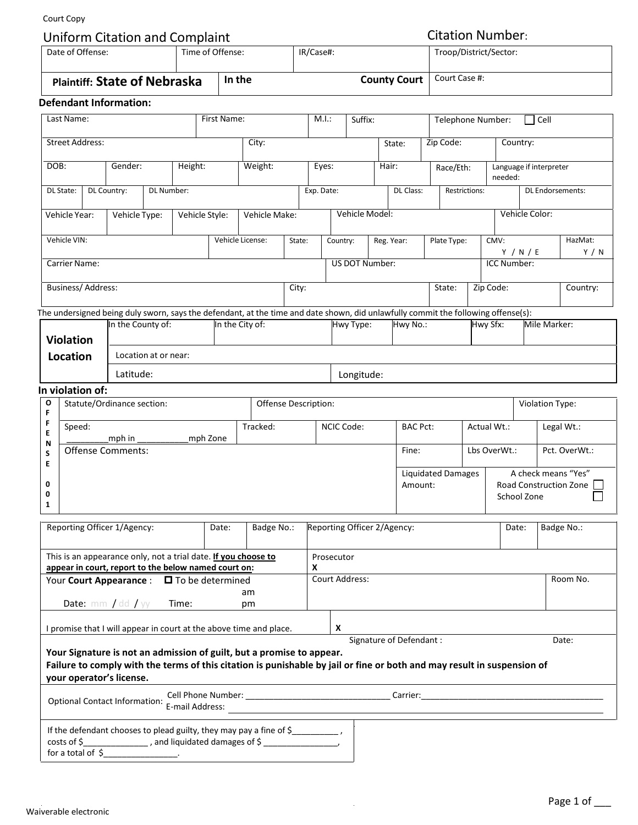Court Copy

|                                                                                                           | Court Copy                                                                          |  |                                                                       |                                                           |  |        |                  |           |       |                                                                       |                   |           |                           |                                                                                                                                   |                                                   |                    |                                    |                                                              |                  |  |
|-----------------------------------------------------------------------------------------------------------|-------------------------------------------------------------------------------------|--|-----------------------------------------------------------------------|-----------------------------------------------------------|--|--------|------------------|-----------|-------|-----------------------------------------------------------------------|-------------------|-----------|---------------------------|-----------------------------------------------------------------------------------------------------------------------------------|---------------------------------------------------|--------------------|------------------------------------|--------------------------------------------------------------|------------------|--|
| Date of Offense:                                                                                          |                                                                                     |  |                                                                       | <b>Uniform Citation and Complaint</b><br>Time of Offense: |  |        |                  | IR/Case#: |       |                                                                       |                   |           |                           |                                                                                                                                   | <b>Citation Number:</b><br>Troop/District/Sector: |                    |                                    |                                                              |                  |  |
| <b>Plaintiff: State of Nebraska</b>                                                                       |                                                                                     |  |                                                                       |                                                           |  | In the |                  |           |       | <b>County Court</b>                                                   |                   |           |                           |                                                                                                                                   | Court Case #:                                     |                    |                                    |                                                              |                  |  |
|                                                                                                           |                                                                                     |  | <b>Defendant Information:</b>                                         |                                                           |  |        |                  |           |       |                                                                       |                   |           |                           |                                                                                                                                   |                                                   |                    |                                    |                                                              |                  |  |
| Last Name:<br>First Name:                                                                                 |                                                                                     |  |                                                                       |                                                           |  |        |                  |           |       | M.I.:<br>Suffix:                                                      |                   |           | Telephone Number:<br>Cell |                                                                                                                                   |                                                   |                    |                                    |                                                              |                  |  |
| <b>Street Address:</b><br>City:                                                                           |                                                                                     |  |                                                                       |                                                           |  |        |                  | State:    |       |                                                                       |                   | Zip Code: |                           |                                                                                                                                   | Country:                                          |                    |                                    |                                                              |                  |  |
| DOB:                                                                                                      |                                                                                     |  | Gender:                                                               | Height:                                                   |  |        | Weight:          |           | Eyes: |                                                                       |                   | Hair:     |                           |                                                                                                                                   | Race/Eth:                                         |                    | Language if interpreter            |                                                              |                  |  |
| DL State:                                                                                                 |                                                                                     |  | DL Country:<br>DL Number:                                             |                                                           |  |        |                  |           |       | Exp. Date:                                                            |                   |           | DL Class:                 |                                                                                                                                   | Restrictions:                                     |                    | needed:<br><b>DL Endorsements:</b> |                                                              |                  |  |
|                                                                                                           |                                                                                     |  |                                                                       |                                                           |  |        |                  |           |       |                                                                       |                   |           |                           |                                                                                                                                   |                                                   |                    |                                    |                                                              |                  |  |
|                                                                                                           | Vehicle Year:                                                                       |  | Vehicle Style:<br>Vehicle Type:                                       |                                                           |  |        | Vehicle Make:    |           |       |                                                                       | Vehicle Model:    |           |                           |                                                                                                                                   |                                                   |                    | Vehicle Color:                     |                                                              |                  |  |
|                                                                                                           | Vehicle VIN:                                                                        |  |                                                                       |                                                           |  |        | Vehicle License: | State:    |       | Country:                                                              | Reg. Year:        |           |                           | Plate Type:                                                                                                                       |                                                   | CMV:               | Y / N / E                          |                                                              | HazMat:<br>Y / N |  |
| Carrier Name:                                                                                             |                                                                                     |  |                                                                       |                                                           |  |        |                  |           |       | US DOT Number:                                                        |                   |           |                           |                                                                                                                                   |                                                   | <b>ICC Number:</b> |                                    |                                                              |                  |  |
|                                                                                                           | Business/ Address:                                                                  |  |                                                                       |                                                           |  |        |                  |           | City: |                                                                       |                   |           |                           | State:                                                                                                                            |                                                   |                    | Zip Code:                          |                                                              | Country:         |  |
|                                                                                                           |                                                                                     |  |                                                                       |                                                           |  |        |                  |           |       |                                                                       |                   |           |                           | The undersigned being duly sworn, says the defendant, at the time and date shown, did unlawfully commit the following offense(s): |                                                   |                    |                                    |                                                              |                  |  |
|                                                                                                           | In the County of:<br>In the City of:<br><b>Violation</b>                            |  |                                                                       |                                                           |  |        |                  |           |       |                                                                       | Hwy Type:         |           | Hwy No.:                  |                                                                                                                                   |                                                   | Hwy Sfx:           |                                    | Mile Marker:                                                 |                  |  |
|                                                                                                           | Location                                                                            |  | Location at or near:                                                  |                                                           |  |        |                  |           |       |                                                                       |                   |           |                           |                                                                                                                                   |                                                   |                    |                                    |                                                              |                  |  |
| Latitude:                                                                                                 |                                                                                     |  |                                                                       |                                                           |  |        |                  |           |       |                                                                       | Longitude:        |           |                           |                                                                                                                                   |                                                   |                    |                                    |                                                              |                  |  |
| In violation of:                                                                                          |                                                                                     |  |                                                                       |                                                           |  |        |                  |           |       |                                                                       |                   |           |                           |                                                                                                                                   |                                                   |                    |                                    |                                                              |                  |  |
| O<br>F                                                                                                    | Offense Description:<br>Statute/Ordinance section:                                  |  |                                                                       |                                                           |  |        |                  |           |       |                                                                       |                   |           |                           |                                                                                                                                   |                                                   | Violation Type:    |                                    |                                                              |                  |  |
| F<br>Е                                                                                                    | Speed:<br>mph in<br>mph Zone                                                        |  |                                                                       |                                                           |  |        | Tracked:         |           |       |                                                                       | <b>NCIC Code:</b> |           |                           | <b>BAC Pct:</b>                                                                                                                   |                                                   | Actual Wt.:        |                                    |                                                              | Legal Wt.:       |  |
| N<br>S<br>E                                                                                               | <b>Offense Comments:</b>                                                            |  |                                                                       |                                                           |  |        |                  |           |       | Fine:                                                                 |                   |           |                           | Lbs OverWt.:                                                                                                                      |                                                   |                    | Pct. OverWt.:                      |                                                              |                  |  |
| 0<br>0<br>1                                                                                               |                                                                                     |  |                                                                       |                                                           |  |        |                  |           |       |                                                                       |                   |           |                           | Amount:                                                                                                                           | <b>Liquidated Damages</b>                         |                    |                                    | A check means "Yes"<br>Road Construction Zone<br>School Zone |                  |  |
| Reporting Officer 1/Agency:<br>Badge No.:<br>Date:                                                        |                                                                                     |  |                                                                       |                                                           |  |        |                  |           |       | Reporting Officer 2/Agency:                                           |                   |           |                           |                                                                                                                                   |                                                   |                    |                                    | Badge No.:<br>Date:                                          |                  |  |
|                                                                                                           |                                                                                     |  | This is an appearance only, not a trial date. If you choose to        |                                                           |  |        |                  |           |       | Prosecutor                                                            |                   |           |                           |                                                                                                                                   |                                                   |                    |                                    |                                                              |                  |  |
| appear in court, report to the below named court on:<br>Your <b>Court Appearance</b> : □ To be determined |                                                                                     |  |                                                                       |                                                           |  |        |                  |           |       | x<br>Court Address:<br>Room No.                                       |                   |           |                           |                                                                                                                                   |                                                   |                    |                                    |                                                              |                  |  |
| am<br><b>Date:</b> $mm / dd / yy$ Time:<br>pm                                                             |                                                                                     |  |                                                                       |                                                           |  |        |                  |           |       |                                                                       |                   |           |                           |                                                                                                                                   |                                                   |                    |                                    |                                                              |                  |  |
|                                                                                                           | I promise that I will appear in court at the above time and place.                  |  |                                                                       |                                                           |  |        |                  |           |       |                                                                       |                   |           |                           |                                                                                                                                   |                                                   |                    |                                    |                                                              |                  |  |
|                                                                                                           |                                                                                     |  |                                                                       |                                                           |  |        |                  |           |       | Your Signature is not an admission of guilt, but a promise to appear. |                   |           | Signature of Defendant:   | Failure to comply with the terms of this citation is punishable by jail or fine or both and may result in suspension of           |                                                   |                    |                                    |                                                              | Date:            |  |
|                                                                                                           | your operator's license.<br><b>Optional Contact Information:</b><br>E-mail Address: |  |                                                                       |                                                           |  |        |                  |           |       |                                                                       |                   |           |                           |                                                                                                                                   |                                                   |                    |                                    |                                                              |                  |  |
|                                                                                                           | $costs$ of $\zeta$                                                                  |  | [100] medicines and liquidated damages of \$<br>for a total of $\sim$ |                                                           |  |        |                  |           |       | If the defendant chooses to plead guilty, they may pay a fine of \$   |                   |           |                           |                                                                                                                                   |                                                   |                    |                                    |                                                              |                  |  |

 $\mathcal{L}_{\text{max}}$